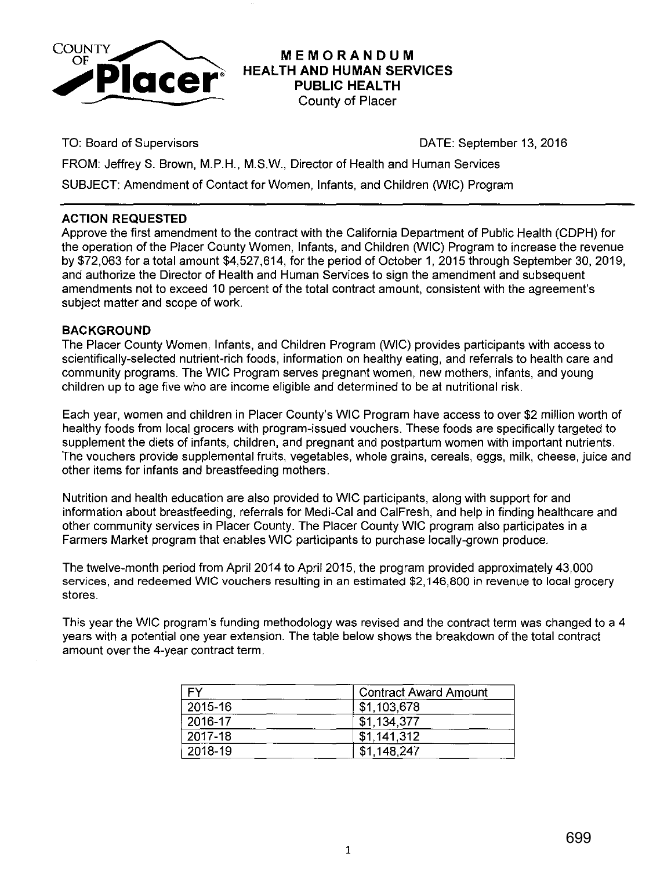

## **MEMORANDUM HEALTH AND HUMAN SERVICES PUBLIC HEALTH**  County of Placer

TO: Board of Supervisors DATE: September 13, 2016 FROM: Jeffrey S. Brown, M.P.H., M.S.W., Director of Health and Human Services SUBJECT: Amendment of Contact for Women, Infants, and Children (WIG) Program

## **ACTION REQUESTED**

Approve the first amendment to the contract with the California Department of Public Health (CDPH) for the operation of the Placer County Women, Infants, and Children (WIC) Program to increase the revenue by \$72,063 for a total amount \$4,527,614, for the period of October 1, 2015 through September 30, 2019, and authorize the Director of Health and Human Services to sign the amendment and subsequent amendments not to exceed 10 percent of the total contract amount, consistent with the agreement's subject matter and scope of work.

## **BACKGROUND**

The Placer County Women, Infants, and Children Program (WIG) provides participants with access to scientifically-selected nutrient-rich foods, information on healthy eating, and referrals to health care and community programs. The WIG Program serves pregnant women, new mothers, infants, and young children up to age five who are income eligible and determined to be at nutritional risk.

Each year, women and children in Placer County's WIG Program have access to over \$2 million worth of healthy foods from local grocers with program-issued vouchers. These foods are specifically targeted to supplement the diets of infants, children, and pregnant and postpartum women with important nutrients. The vouchers provide supplemental fruits, vegetables, whole grains, cereals, eggs, milk, cheese, juice and other items for infants and breastfeeding mothers.

Nutrition and health education are also provided to WIG participants, along with support for and information about breastfeeding, referrals for Medi-Cal and CalFresh, and help in finding healthcare and other community services in Placer County. The Placer County WIG program also participates in a Farmers Market program that enables WIG participants to purchase locally-grown produce.

The twelve-month period from April 2014 to April 2015, the program provided approximately 43,000 services, and redeemed WIC vouchers resulting in an estimated \$2,146,800 in revenue to local grocery stores.

This year the WIC program's funding methodology was revised and the contract term was changed to a 4 years with a potential one year extension. The table below shows the breakdown of the total contract amount over the 4-year contract term.

| EV      | <b>Contract Award Amount</b> |
|---------|------------------------------|
| 2015-16 | \$1,103,678                  |
| 2016-17 | \$1,134,377                  |
| 2017-18 | \$1,141,312                  |
| 2018-19 | \$1,148,247                  |